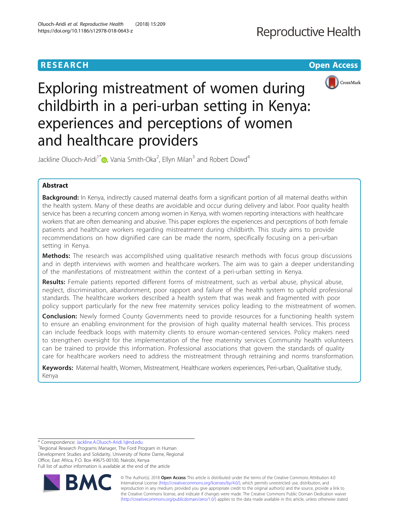# **RESEARCH CHINESE ARCHITECT ACCESS**



Exploring mistreatment of women during childbirth in a peri-urban setting in Kenya: experiences and perceptions of women and healthcare providers

Jackline Oluoch-Aridi<sup>1[\\*](http://orcid.org/0000-0002-8456-6735)</sup> $\textsf{O}$ , Vania Smith-Oka<sup>2</sup>, Ellyn Milan<sup>3</sup> and Robert Dowd<sup>4</sup>

# Abstract

Background: In Kenya, indirectly caused maternal deaths form a significant portion of all maternal deaths within the health system. Many of these deaths are avoidable and occur during delivery and labor. Poor quality health service has been a recurring concern among women in Kenya, with women reporting interactions with healthcare workers that are often demeaning and abusive. This paper explores the experiences and perceptions of both female patients and healthcare workers regarding mistreatment during childbirth. This study aims to provide recommendations on how dignified care can be made the norm, specifically focusing on a peri-urban setting in Kenya.

**Methods:** The research was accomplished using qualitative research methods with focus group discussions and in depth interviews with women and healthcare workers. The aim was to gain a deeper understanding of the manifestations of mistreatment within the context of a peri-urban setting in Kenya.

Results: Female patients reported different forms of mistreatment, such as verbal abuse, physical abuse, neglect, discrimination, abandonment, poor rapport and failure of the health system to uphold professional standards. The healthcare workers described a health system that was weak and fragmented with poor policy support particularly for the new free maternity services policy leading to the mistreatment of women.

**Conclusion:** Newly formed County Governments need to provide resources for a functioning health system to ensure an enabling environment for the provision of high quality maternal health services. This process can include feedback loops with maternity clients to ensure woman-centered services. Policy makers need to strengthen oversight for the implementation of the free maternity services Community health volunteers can be trained to provide this information. Professional associations that govern the standards of quality care for healthcare workers need to address the mistreatment through retraining and norms transformation.

Keywords: Maternal health, Women, Mistreatment, Healthcare workers experiences, Peri-urban, Qualitative study, Kenya

\* Correspondence: [Jackline.A.Oluoch-Aridi.1@nd.edu](mailto:Jackline.A.Oluoch-Aridi.1@nd.edu) <sup>1</sup>

<sup>1</sup> Regional Research Programs Manager, The Ford Program in Human Development Studies and Solidarity, University of Notre Dame, Regional Office, East Africa, P.O. Box 49675-00100, Nairobi, Kenya Full list of author information is available at the end of the article



© The Author(s). 2018 Open Access This article is distributed under the terms of the Creative Commons Attribution 4.0 International License [\(http://creativecommons.org/licenses/by/4.0/](http://creativecommons.org/licenses/by/4.0/)), which permits unrestricted use, distribution, and reproduction in any medium, provided you give appropriate credit to the original author(s) and the source, provide a link to the Creative Commons license, and indicate if changes were made. The Creative Commons Public Domain Dedication waiver [\(http://creativecommons.org/publicdomain/zero/1.0/](http://creativecommons.org/publicdomain/zero/1.0/)) applies to the data made available in this article, unless otherwise stated.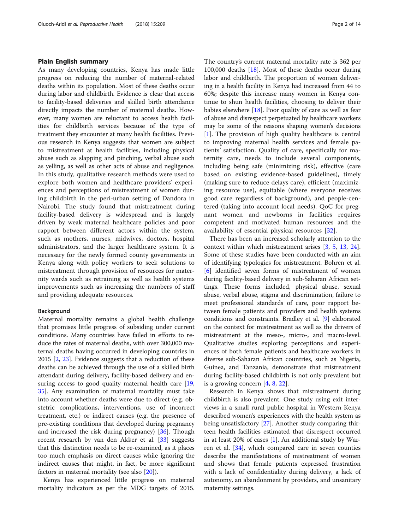## Plain English summary

As many developing countries, Kenya has made little progress on reducing the number of maternal-related deaths within its population. Most of these deaths occur during labor and childbirth. Evidence is clear that access to facility-based deliveries and skilled birth attendance directly impacts the number of maternal deaths. However, many women are reluctant to access health facilities for childbirth services because of the type of treatment they encounter at many health facilities. Previous research in Kenya suggests that women are subject to mistreatment at health facilities, including physical abuse such as slapping and pinching, verbal abuse such as yelling, as well as other acts of abuse and negligence. In this study, qualitative research methods were used to explore both women and healthcare providers' experiences and perceptions of mistreatment of women during childbirth in the peri-urban setting of Dandora in Nairobi. The study found that mistreatment during facility-based delivery is widespread and is largely driven by weak maternal healthcare policies and poor rapport between different actors within the system, such as mothers, nurses, midwives, doctors, hospital administrators, and the larger healthcare system. It is necessary for the newly formed county governments in Kenya along with policy workers to seek solutions to mistreatment through provision of resources for maternity wards such as retraining as well as health systems improvements such as increasing the numbers of staff and providing adequate resources.

## Background

Maternal mortality remains a global health challenge that promises little progress of subsiding under current conditions. Many countries have failed in efforts to reduce the rates of maternal deaths, with over 300,000 maternal deaths having occurred in developing countries in 2015 [[2,](#page-12-0) [23](#page-13-0)]. Evidence suggests that a reduction of these deaths can be achieved through the use of a skilled birth attendant during delivery, facility-based delivery and en-suring access to good quality maternal health care [[19](#page-13-0), [35\]](#page-13-0). Any examination of maternal mortality must take into account whether deaths were due to direct (e.g. obstetric complications, interventions, use of incorrect treatment, etc.) or indirect causes (e.g. the presence of pre-existing conditions that developed during pregnancy and increased the risk during pregnancy) [[36\]](#page-13-0). Though recent research by van den Akker et al. [[33\]](#page-13-0) suggests that this distinction needs to be re-examined, as it places too much emphasis on direct causes while ignoring the indirect causes that might, in fact, be more significant factors in maternal mortality (see also [[20\]](#page-13-0)).

Kenya has experienced little progress on maternal mortality indicators as per the MDG targets of 2015.

The country's current maternal mortality rate is 362 per 100,000 deaths [[18](#page-13-0)]. Most of these deaths occur during labor and childbirth. The proportion of women delivering in a health facility in Kenya had increased from 44 to 60%; despite this increase many women in Kenya continue to shun health facilities, choosing to deliver their babies elsewhere [\[18\]](#page-13-0). Poor quality of care as well as fear of abuse and disrespect perpetuated by healthcare workers may be some of the reasons shaping women's decisions [[1\]](#page-12-0). The provision of high quality healthcare is central to improving maternal health services and female patients' satisfaction. Quality of care, specifically for maternity care, needs to include several components, including being safe (minimizing risk), effective (care based on existing evidence-based guidelines), timely (making sure to reduce delays care), efficient (maximizing resource use), equitable (where everyone receives good care regardless of background), and people-centered (taking into account local needs). QoC for pregnant women and newborns in facilities requires competent and motivated human resources and the availability of essential physical resources [[32\]](#page-13-0).

There has been an increased scholarly attention to the context within which mistreatment arises [[3](#page-13-0), [5](#page-13-0), [13](#page-13-0), [24](#page-13-0)]. Some of these studies have been conducted with an aim of identifying typologies for mistreatment. Bohren et al. [[6\]](#page-13-0) identified seven forms of mistreatment of women during facility-based delivery in sub-Saharan African settings. These forms included, physical abuse, sexual abuse, verbal abuse, stigma and discrimination, failure to meet professional standards of care, poor rapport between female patients and providers and health systems conditions and constraints. Bradley et al. [\[9\]](#page-13-0) elaborated on the context for mistreatment as well as the drivers of mistreatment at the meso-, micro-, and macro-level. Qualitative studies exploring perceptions and experiences of both female patients and healthcare workers in diverse sub-Saharan African countries, such as Nigeria, Guinea, and Tanzania, demonstrate that mistreatment during facility-based childbirth is not only prevalent but is a growing concern [\[4](#page-13-0), [8](#page-13-0), [22](#page-13-0)].

Research in Kenya shows that mistreatment during childbirth is also prevalent. One study using exit interviews in a small rural public hospital in Western Kenya described women's experiences with the health system as being unsatisfactory [[27\]](#page-13-0). Another study comparing thirteen health facilities estimated that disrespect occurred in at least 20% of cases  $[1]$  $[1]$  $[1]$ . An additional study by Warren et al. [[34\]](#page-13-0), which compared care in seven counties describe the manifestations of mistreatment of women and shows that female patients expressed frustration with a lack of confidentiality during delivery, a lack of autonomy, an abandonment by providers, and unsanitary maternity settings.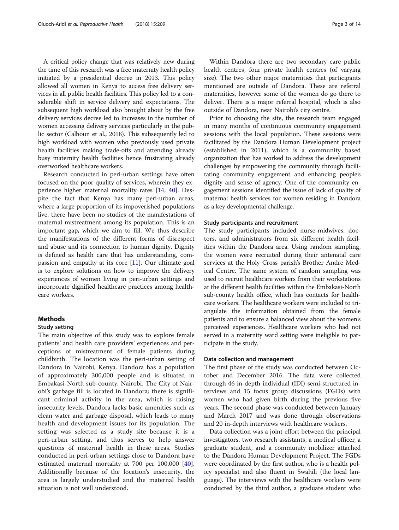A critical policy change that was relatively new during the time of this research was a free maternity health policy initiated by a presidential decree in 2013. This policy allowed all women in Kenya to access free delivery services in all public health facilities. This policy led to a considerable shift in service delivery and expectations. The subsequent high workload also brought about by the free delivery services decree led to increases in the number of women accessing delivery services particularly in the public sector (Calhoun et al., 2018). This subsequently led to high workload with women who previously used private health facilities making trade-offs and attending already busy maternity health facilities hence frustrating already overworked healthcare workers.

Research conducted in peri-urban settings have often focused on the poor quality of services, wherein they experience higher maternal mortality rates [[14](#page-13-0), [40\]](#page-13-0). Despite the fact that Kenya has many peri-urban areas, where a large proportion of its impoverished populations live, there have been no studies of the manifestations of maternal mistreatment among its population. This is an important gap, which we aim to fill. We thus describe the manifestations of the different forms of disrespect and abuse and its connection to human dignity. Dignity is defined as health care that has understanding, compassion and empathy at its core [\[11\]](#page-13-0). Our ultimate goal is to explore solutions on how to improve the delivery experiences of women living in peri-urban settings and incorporate dignified healthcare practices among healthcare workers.

## Methods

#### Study setting

The main objective of this study was to explore female patients' and health care providers' experiences and perceptions of mistreatment of female patients during childbirth. The location was the peri-urban setting of Dandora in Nairobi, Kenya. Dandora has a population of approximately 300,000 people and is situated in Embakasi-North sub-county, Nairobi. The City of Nairobi's garbage fill is located in Dandora; there is significant criminal activity in the area, which is raising insecurity levels. Dandora lacks basic amenities such as clean water and garbage disposal, which leads to many health and development issues for its population. The setting was selected as a study site because it is a peri-urban setting, and thus serves to help answer questions of maternal health in these areas. Studies conducted in peri-urban settings close to Dandora have estimated maternal mortality at 700 per 100,000 [\[40](#page-13-0)]. Additionally because of the location's insecurity, the area is largely understudied and the maternal health situation is not well understood.

Within Dandora there are two secondary care public health centres, four private health centres (of varying size). The two other major maternities that participants mentioned are outside of Dandora. These are referral maternities, however some of the women do go there to deliver. There is a major referral hospital, which is also outside of Dandora, near Nairobi's city centre.

Prior to choosing the site, the research team engaged in many months of continuous community engagement sessions with the local population. These sessions were facilitated by the Dandora Human Development project (established in 2011), which is a community based organization that has worked to address the development challenges by empowering the community through facilitating community engagement and enhancing people's dignity and sense of agency. One of the community engagement sessions identified the issue of lack of quality of maternal health services for women residing in Dandora as a key developmental challenge.

## Study participants and recruitment

The study participants included nurse-midwives, doctors, and administrators from six different health facilities within the Dandora area. Using random sampling, the women were recruited during their antenatal care services at the Holy Cross parish's Brother Andre Medical Centre. The same system of random sampling was used to recruit healthcare workers from their workstations at the different health facilities within the Embakasi-North sub-county health office, which has contacts for healthcare workers. The healthcare workers were included to triangulate the information obtained from the female patients and to ensure a balanced view about the women's perceived experiences. Healthcare workers who had not served in a maternity ward setting were ineligible to participate in the study.

## Data collection and management

The first phase of the study was conducted between October and December 2016. The data were collected through 46 in-depth individual (IDI) semi-structured interviews and 15 focus group discussions (FGDs) with women who had given birth during the previous five years. The second phase was conducted between January and March 2017 and was done through observations and 20 in-depth interviews with healthcare workers.

Data collection was a joint effort between the principal investigators, two research assistants, a medical officer, a graduate student, and a community mobilizer attached to the Dandora Human Development Project. The FGDs were coordinated by the first author, who is a health policy specialist and also fluent in Swahili (the local language). The interviews with the healthcare workers were conducted by the third author, a graduate student who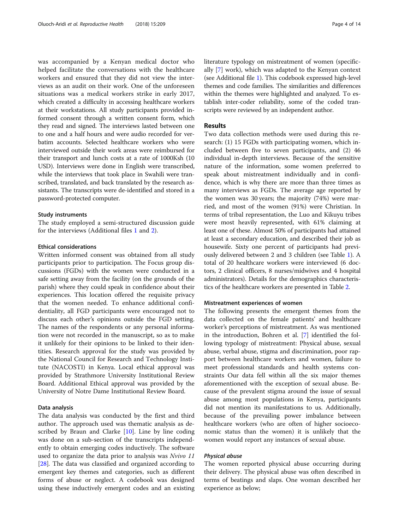was accompanied by a Kenyan medical doctor who helped facilitate the conversations with the healthcare workers and ensured that they did not view the interviews as an audit on their work. One of the unforeseen situations was a medical workers strike in early 2017, which created a difficulty in accessing healthcare workers at their workstations. All study participants provided informed consent through a written consent form, which they read and signed. The interviews lasted between one to one and a half hours and were audio recorded for verbatim accounts. Selected healthcare workers who were interviewed outside their work areas were reimbursed for their transport and lunch costs at a rate of 1000Ksh (10 USD). Interviews were done in English were transcribed, while the interviews that took place in Swahili were transcribed, translated, and back translated by the research assistants. The transcripts were de-identified and stored in a password-protected computer.

## Study instruments

The study employed a semi-structured discussion guide for the interviews (Additional files [1](#page-12-0) and [2\)](#page-12-0).

## Ethical considerations

Written informed consent was obtained from all study participants prior to participation. The Focus group discussions (FGDs) with the women were conducted in a safe setting away from the facility (on the grounds of the parish) where they could speak in confidence about their experiences. This location offered the requisite privacy that the women needed. To enhance additional confidentiality, all FGD participants were encouraged not to discuss each other's opinions outside the FGD setting. The names of the respondents or any personal information were not recorded in the manuscript, so as to make it unlikely for their opinions to be linked to their identities. Research approval for the study was provided by the National Council for Research and Technology Institute (NACOSTI) in Kenya. Local ethical approval was provided by Strathmore University Institutional Review Board. Additional Ethical approval was provided by the University of Notre Dame Institutional Review Board.

## Data analysis

The data analysis was conducted by the first and third author. The approach used was thematic analysis as described by Braun and Clarke [\[10](#page-13-0)]. Line by line coding was done on a sub-section of the transcripts independently to obtain emerging codes inductively. The software used to organize the data prior to analysis was Nvivo 11 [[28\]](#page-13-0). The data was classified and organized according to emergent key themes and categories, such as different forms of abuse or neglect. A codebook was designed using these inductively emergent codes and an existing literature typology on mistreatment of women (specifically [[7\]](#page-13-0) work), which was adapted to the Kenyan context (see Additional file [1\)](#page-12-0). This codebook expressed high-level themes and code families. The similarities and differences within the themes were highlighted and analyzed. To establish inter-coder reliability, some of the coded transcripts were reviewed by an independent author.

## Results

Two data collection methods were used during this research: (1) 15 FGDs with participating women, which included between five to seven participants, and (2) 46 individual in-depth interviews. Because of the sensitive nature of the information, some women preferred to speak about mistreatment individually and in confidence, which is why there are more than three times as many interviews as FGDs. The average age reported by the women was 30 years; the majority (74%) were married, and most of the women (91%) were Christian. In terms of tribal representation, the Luo and Kikuyu tribes were most heavily represented, with 61% claiming at least one of these. Almost 50% of participants had attained at least a secondary education, and described their job as housewife. Sixty one percent of participants had previously delivered between 2 and 3 children (see Table [1](#page-4-0)). A total of 20 healthcare workers were interviewed (6 doctors, 2 clinical officers, 8 nurses/midwives and 4 hospital administrators). Details for the demographics characteristics of the healthcare workers are presented in Table [2.](#page-4-0)

## Mistreatment experiences of women

The following presents the emergent themes from the data collected on the female patients' and healthcare worker's perceptions of mistreatment. As was mentioned in the introduction, Bohren et al. [[7\]](#page-13-0) identified the following typology of mistreatment: Physical abuse, sexual abuse, verbal abuse, stigma and discrimination, poor rapport between healthcare workers and women, failure to meet professional standards and health systems constraints Our data fell within all the six major themes aforementioned with the exception of sexual abuse. Because of the prevalent stigma around the issue of sexual abuse among most populations in Kenya, participants did not mention its manifestations to us. Additionally, because of the prevailing power imbalance between healthcare workers (who are often of higher socioeconomic status than the women) it is unlikely that the women would report any instances of sexual abuse.

# Physical abuse

The women reported physical abuse occurring during their delivery. The physical abuse was often described in terms of beatings and slaps. One woman described her experience as below;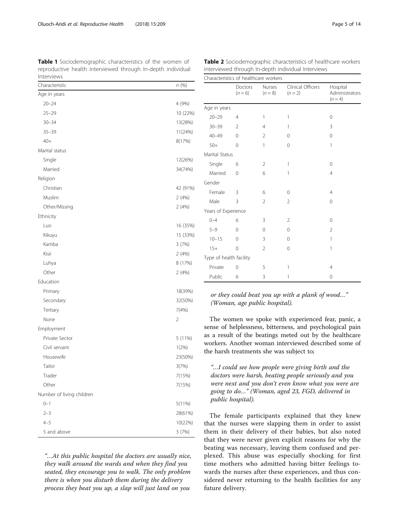<span id="page-4-0"></span>Table 1 Sociodemographic characteristics of the women of reproductive health interviewed through In-depth individual Interviews

Characteristic  $n$  (%) Age in years 20–24 4 (9%) 25–29 10 (22%) 30–34 13(28%) 35–39 11(24%) 40+ 8(17%) Marital status Single 12(26%) Married 34(74%) Religion Christian 42 (91%) Muslim 2 (4%) Other/Missing 2 (4%) Ethnicity Luo 16 (35%) Kikuyu 15 (33%) Kamba 3 (7%) Kisii 2 (4%) Luhya 8 (17%) Other 2 (4%) Education Primary 18(39%) Secondary 32(50%) Tertiary 7(4%) None 2 Employment Private Sector 5 (11%) Civil servant 1(2%) Housewife 23(50%) Tailor 3(7%) Trader 7(15%) Other 7(15%) Number of living children 0–1 5(11%) 2–3 28(61%) 4–5 10(22%)

"…At this public hospital the doctors are usually nice, they walk around the wards and when they find you seated, they encourage you to walk. The only problem there is when you disturb them during the delivery process they beat you up, a slap will just land on you

 $5$  and above  $3$  (7%)

or they could beat you up with a plank of wood…" (Woman, age public hospital).

The women we spoke with experienced fear, panic, a sense of helplessness, bitterness, and psychological pain as a result of the beatings meted out by the healthcare workers. Another woman interviewed described some of the harsh treatments she was subject to;

"…I could see how people were giving birth and the doctors were harsh, beating people seriously and you were next and you don't even know what you were are going to do…" (Woman, aged 23, FGD, delivered in public hospital).

The female participants explained that they knew that the nurses were slapping them in order to assist them in their delivery of their babies, but also noted that they were never given explicit reasons for why the beating was necessary, leaving them confused and perplexed. This abuse was especially shocking for first time mothers who admitted having bitter feelings towards the nurses after these experiences, and thus considered never returning to the health facilities for any future delivery.

| Characteristics of healthcare workers |                      |                     |                                |                                         |
|---------------------------------------|----------------------|---------------------|--------------------------------|-----------------------------------------|
|                                       | Doctors<br>$(n = 6)$ | Nurses<br>$(n = 8)$ | Clinical Officers<br>$(n = 2)$ | Hospital<br>Administrators<br>$(n = 4)$ |
| Age in years                          |                      |                     |                                |                                         |
| $20 - 29$                             | $\overline{4}$       | 1                   | 1                              | 0                                       |
| $30 - 39$                             | $\overline{2}$       | $\overline{4}$      | 1                              | 3                                       |
| $40 - 49$                             | $\mathbf 0$          | $\overline{2}$      | 0                              | $\Omega$                                |
| $50+$                                 | $\Omega$             | 1                   | $\Omega$                       | 1                                       |
| Marital Status                        |                      |                     |                                |                                         |
| Single                                | 6                    | $\overline{2}$      | 1                              | $\mathbf 0$                             |
| Married                               | 0                    | 6                   | 1                              | 4                                       |
| Gender                                |                      |                     |                                |                                         |
| Female                                | 3                    | 6                   | 0                              | $\overline{4}$                          |
| Male                                  | 3                    | $\mathfrak{D}$      | $\overline{2}$                 | 0                                       |
| Years of Experience                   |                      |                     |                                |                                         |
| $0 - 4$                               | 6                    | 3                   | $\overline{2}$                 | $\Omega$                                |
| $5 - 9$                               | 0                    | 0                   | 0                              | $\overline{2}$                          |
| $10 - 15$                             | $\Omega$             | 3                   | $\Omega$                       | 1                                       |
| $15+$                                 | 0                    | $\overline{2}$      | 0                              | 1                                       |
| Type of health facility               |                      |                     |                                |                                         |
| Private                               | 0                    | 5                   | 1                              | 4                                       |
| Public                                | 6                    | 3                   | 1                              | 0                                       |

Table 2 Sociodemographic characteristics of healthcare workers interviewed through In-depth individual Interviews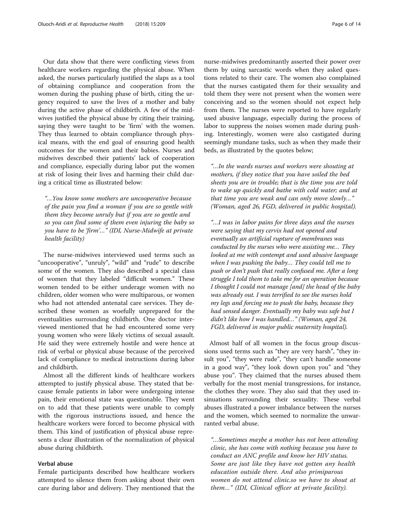Our data show that there were conflicting views from healthcare workers regarding the physical abuse. When asked, the nurses particularly justified the slaps as a tool of obtaining compliance and cooperation from the women during the pushing phase of birth, citing the urgency required to save the lives of a mother and baby during the active phase of childbirth. A few of the midwives justified the physical abuse by citing their training, saying they were taught to be 'firm' with the women. They thus learned to obtain compliance through physical means, with the end goal of ensuring good health outcomes for the women and their babies. Nurses and midwives described their patients' lack of cooperation and compliance, especially during labor put the women at risk of losing their lives and harming their child during a critical time as illustrated below:

"…You know some mothers are uncooperative because of the pain you find a woman if you are so gentle with them they become unruly but if you are so gentle and so you can find some of them even injuring the baby so you have to be 'firm'…" (IDI, Nurse-Midwife at private health facility)

The nurse-midwives interviewed used terms such as "uncooperative", "unruly", "wild" and "rude" to describe some of the women. They also described a special class of women that they labeled "difficult women." These women tended to be either underage women with no children, older women who were multiparous, or women who had not attended antenatal care services. They described these women as woefully unprepared for the eventualities surrounding childbirth. One doctor interviewed mentioned that he had encountered some very young women who were likely victims of sexual assault. He said they were extremely hostile and were hence at risk of verbal or physical abuse because of the perceived lack of compliance to medical instructions during labor and childbirth.

Almost all the different kinds of healthcare workers attempted to justify physical abuse. They stated that because female patients in labor were undergoing intense pain, their emotional state was questionable. They went on to add that these patients were unable to comply with the rigorous instructions issued, and hence the healthcare workers were forced to become physical with them. This kind of justification of physical abuse represents a clear illustration of the normalization of physical abuse during childbirth.

## Verbal abuse

Female participants described how healthcare workers attempted to silence them from asking about their own care during labor and delivery. They mentioned that the nurse-midwives predominantly asserted their power over them by using sarcastic words when they asked questions related to their care. The women also complained that the nurses castigated them for their sexuality and told them they were not present when the women were conceiving and so the women should not expect help from them. The nurses were reported to have regularly used abusive language, especially during the process of labor to suppress the noises women made during pushing. Interestingly, women were also castigated during seemingly mundane tasks, such as when they made their beds, as illustrated by the quotes below;

"…In the wards nurses and workers were shouting at mothers, if they notice that you have soiled the bed sheets you are in trouble; that is the time you are told to wake up quickly and bathe with cold water; and at that time you are weak and can only move slowly…" (Woman, aged 26, FGD, delivered in public hospital).

"…I was in labor pains for three days and the nurses were saying that my cervix had not opened and eventually an artificial rupture of membranes was conducted by the nurses who were assisting me… They looked at me with contempt and used abusive language when I was pushing the baby... They could tell me to push or don't push that really confused me. After a long struggle I told them to take me for an operation because I thought I could not manage [and] the head of the baby was already out. I was terrified to see the nurses hold my legs and forcing me to push the baby, because they had sensed danger. Eventually my baby was safe but I didn't like how I was handled…" (Woman, aged 24, FGD, delivered in major public maternity hospital).

Almost half of all women in the focus group discussions used terms such as "they are very harsh", "they insult you", "they were rude", "they can't handle someone in a good way", "they look down upon you" and "they abuse you". They claimed that the nurses abused them verbally for the most menial transgressions, for instance, the clothes they wore. They also said that they used insinuations surrounding their sexuality. These verbal abuses illustrated a power imbalance between the nurses and the women, which seemed to normalize the unwarranted verbal abuse.

"…Sometimes maybe a mother has not been attending clinic, she has come with nothing because you have to conduct an ANC profile and know her HIV status. Some are just like they have not gotten any health education outside there. And also primiparous women do not attend clinic.so we have to shout at them…" (IDI, Clinical officer at private facility).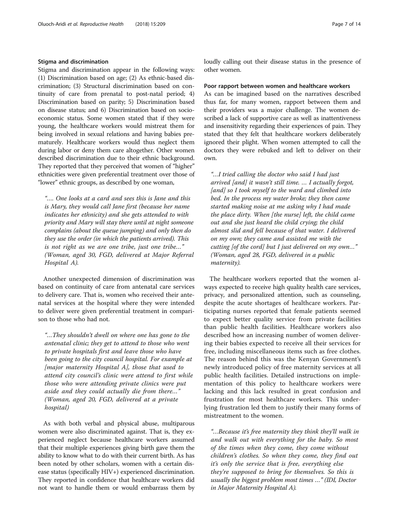# Stigma and discrimination

Stigma and discrimination appear in the following ways: (1) Discrimination based on age; (2) As ethnic-based discrimination; (3) Structural discrimination based on continuity of care from prenatal to post-natal period; 4) Discrimination based on parity; 5) Discrimination based on disease status; and 6) Discrimination based on socioeconomic status. Some women stated that if they were young, the healthcare workers would mistreat them for being involved in sexual relations and having babies prematurely. Healthcare workers would thus neglect them during labor or deny them care altogether. Other women described discrimination due to their ethnic background. They reported that they perceived that women of "higher" ethnicities were given preferential treatment over those of "lower" ethnic groups, as described by one woman,

"…. One looks at a card and sees this is Jane and this is Mary, they would call Jane first (because her name indicates her ethnicity) and she gets attended to with priority and Mary will stay there until at night someone complains (about the queue jumping) and only then do they use the order (in which the patients arrived). This is not right as we are one tribe, just one tribe…" (Woman, aged 30, FGD, delivered at Major Referral Hospital A).

Another unexpected dimension of discrimination was based on continuity of care from antenatal care services to delivery care. That is, women who received their antenatal services at the hospital where they were intended to deliver were given preferential treatment in comparison to those who had not.

"…They shouldn't dwell on where one has gone to the antenatal clinic; they get to attend to those who went to private hospitals first and leave those who have been going to the city council hospital. For example at [major maternity Hospital A], those that used to attend city council's clinic were attend to first while those who were attending private clinics were put aside and they could actually die from there…" (Woman, aged 20, FGD, delivered at a private hospital)

As with both verbal and physical abuse, multiparous women were also discriminated against. That is, they experienced neglect because healthcare workers assumed that their multiple experiences giving birth gave them the ability to know what to do with their current birth. As has been noted by other scholars, women with a certain disease status (specifically HIV+) experienced discrimination. They reported in confidence that healthcare workers did not want to handle them or would embarrass them by loudly calling out their disease status in the presence of other women.

# Poor rapport between women and healthcare workers

As can be imagined based on the narratives described thus far, for many women, rapport between them and their providers was a major challenge. The women described a lack of supportive care as well as inattentiveness and insensitivity regarding their experiences of pain. They stated that they felt that healthcare workers deliberately ignored their plight. When women attempted to call the doctors they were rebuked and left to deliver on their own.

"…I tried calling the doctor who said I had just arrived [and] it wasn't still time. … I actually forgot, [and] so I took myself to the ward and climbed into bed. In the process my water broke; they then came started making noise at me asking why I had made the place dirty. When [the nurse] left, the child came out and she just heard the child crying; the child almost slid and fell because of that water. I delivered on my own; they came and assisted me with the cutting [of the cord] but I just delivered on my own…" (Woman, aged 28, FGD, delivered in a public maternity).

The healthcare workers reported that the women always expected to receive high quality health care services, privacy, and personalized attention, such as counseling, despite the acute shortages of healthcare workers. Participating nurses reported that female patients seemed to expect better quality service from private facilities than public health facilities. Healthcare workers also described how an increasing number of women delivering their babies expected to receive all their services for free, including miscellaneous items such as free clothes. The reason behind this was the Kenyan Government's newly introduced policy of free maternity services at all public health facilities. Detailed instructions on implementation of this policy to healthcare workers were lacking and this lack resulted in great confusion and frustration for most healthcare workers. This underlying frustration led them to justify their many forms of mistreatment to the women.

"…Because it's free maternity they think they'll walk in and walk out with everything for the baby. So most of the times when they come, they come without children's clothes. So when they come, they find out it's only the service that is free, everything else they're supposed to bring for themselves. So this is usually the biggest problem most times …" (IDI, Doctor in Major Maternity Hospital A).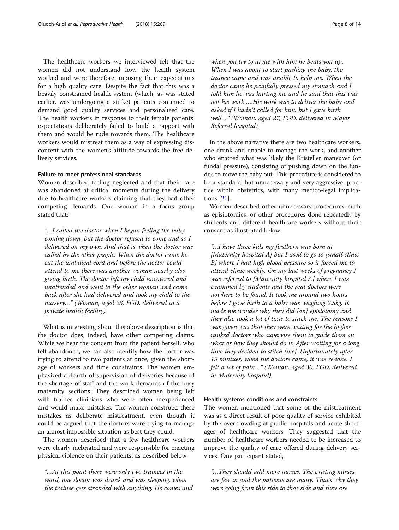The healthcare workers we interviewed felt that the women did not understand how the health system worked and were therefore imposing their expectations for a high quality care. Despite the fact that this was a heavily constrained health system (which, as was stated earlier, was undergoing a strike) patients continued to demand good quality services and personalized care. The health workers in response to their female patients' expectations deliberately failed to build a rapport with them and would be rude towards them. The healthcare workers would mistreat them as a way of expressing discontent with the women's attitude towards the free delivery services.

## Failure to meet professional standards

Women described feeling neglected and that their care was abandoned at critical moments during the delivery due to healthcare workers claiming that they had other competing demands. One woman in a focus group stated that:

"…I called the doctor when I began feeling the baby coming down, but the doctor refused to come and so I delivered on my own. And that is when the doctor was called by the other people. When the doctor came he cut the umbilical cord and before the doctor could attend to me there was another woman nearby also giving birth. The doctor left my child uncovered and unattended and went to the other woman and came back after she had delivered and took my child to the nursery…" (Woman, aged 23, FGD, delivered in a private health facility).

What is interesting about this above description is that the doctor does, indeed, have other competing claims. While we hear the concern from the patient herself, who felt abandoned, we can also identify how the doctor was trying to attend to two patients at once, given the shortage of workers and time constraints. The women emphasized a dearth of supervision of deliveries because of the shortage of staff and the work demands of the busy maternity sections. They described women being left with trainee clinicians who were often inexperienced and would make mistakes. The women construed these mistakes as deliberate mistreatment, even though it could be argued that the doctors were trying to manage an almost impossible situation as best they could.

The women described that a few healthcare workers were clearly inebriated and were responsible for enacting physical violence on their patients, as described below.

"…At this point there were only two trainees in the ward, one doctor was drunk and was sleeping, when the trainee gets stranded with anything. He comes and

when you try to argue with him he beats you up. When I was about to start pushing the baby, the trainee came and was unable to help me. When the doctor came he painfully pressed my stomach and I told him he was hurting me and he said that this was not his work ….His work was to deliver the baby and asked if I hadn't called for him; but I gave birth well…" (Woman, aged 27, FGD, delivered in Major Referral hospital).

In the above narrative there are two healthcare workers, one drunk and unable to manage the work, and another who enacted what was likely the Kristeller maneuver (or fundal pressure), consisting of pushing down on the fundus to move the baby out. This procedure is considered to be a standard, but unnecessary and very aggressive, practice within obstetrics, with many medico-legal implications [\[21\]](#page-13-0).

Women described other unnecessary procedures, such as episiotomies, or other procedures done repeatedly by students and different healthcare workers without their consent as illustrated below.

"…I have three kids my firstborn was born at [Maternity hospital A] but I used to go to [small clinic B] where I had high blood pressure so it forced me to attend clinic weekly. On my last weeks of pregnancy I was referred to [Maternity hospital A] where I was examined by students and the real doctors were nowhere to be found. It took me around two hours before I gave birth to a baby was weighing 2.5kg. It made me wonder why they did [an] episiotomy and they also took a lot of time to stitch me. The reasons I was given was that they were waiting for the higher ranked doctors who supervise them to guide them on what or how they should do it. After waiting for a long time they decided to stitch [me]. Unfortunately after 15 mintues, when the doctors came, it was redone. I felt a lot of pain…" (Woman, aged 30, FGD, delivered in Maternity hospital).

# Health systems conditions and constraints

The women mentioned that some of the mistreatment was as a direct result of poor quality of service exhibited by the overcrowding at public hospitals and acute shortages of healthcare workers. They suggested that the number of healthcare workers needed to be increased to improve the quality of care offered during delivery services. One participant stated,

"…They should add more nurses. The existing nurses are few in and the patients are many. That's why they were going from this side to that side and they are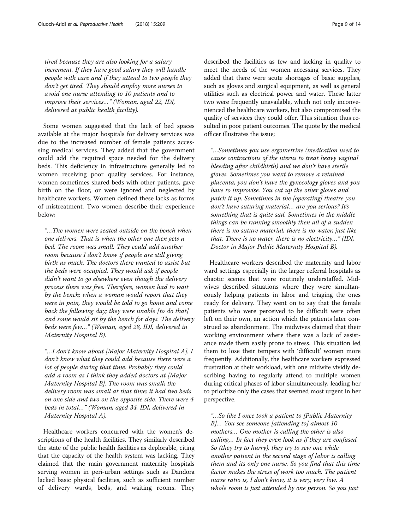tired because they are also looking for a salary increment. If they have good salary they will handle people with care and if they attend to two people they don't get tired. They should employ more nurses to avoid one nurse attending to 10 patients and to improve their services…" (Woman, aged 22, IDI, delivered at public health facility).

Some women suggested that the lack of bed spaces available at the major hospitals for delivery services was due to the increased number of female patients accessing medical services. They added that the government could add the required space needed for the delivery beds. This deficiency in infrastructure generally led to women receiving poor quality services. For instance, women sometimes shared beds with other patients, gave birth on the floor, or were ignored and neglected by healthcare workers. Women defined these lacks as forms of mistreatment. Two women describe their experience below;

"…The women were seated outside on the bench when one delivers. That is when the other one then gets a bed. The room was small. They could add another room because I don't know if people are still giving birth as much. The doctors there wanted to assist but the beds were occupied. They would ask if people didn't want to go elsewhere even though the delivery process there was free. Therefore, women had to wait by the bench; when a woman would report that they were in pain, they would be told to go home and come back the following day; they were unable [to do that] and some would sit by the bench for days. The delivery beds were few…" (Woman, aged 28, IDI, delivered in Maternity Hospital B).

"…I don't know about [Major Maternity Hospital A]. I don't know what they could add because there were a lot of people during that time. Probably they could add a room as I think they added doctors at [Major Maternity Hospital B]. The room was small; the delivery room was small at that time; it had two beds on one side and two on the opposite side. There were 4 beds in total…" (Woman, aged 34, IDI, delivered in Maternity Hospital A).

Healthcare workers concurred with the women's descriptions of the health facilities. They similarly described the state of the public health facilities as deplorable, citing that the capacity of the health system was lacking. They claimed that the main government maternity hospitals serving women in peri-urban settings such as Dandora lacked basic physical facilities, such as sufficient number of delivery wards, beds, and waiting rooms. They described the facilities as few and lacking in quality to meet the needs of the women accessing services. They added that there were acute shortages of basic supplies, such as gloves and surgical equipment, as well as general utilities such as electrical power and water. These latter two were frequently unavailable, which not only inconvenienced the healthcare workers, but also compromised the quality of services they could offer. This situation thus resulted in poor patient outcomes. The quote by the medical officer illustrates the issue;

"…Sometimes you use ergometrine (medication used to cause contractions of the uterus to treat heavy vaginal bleeding after childbirth) and we don't have sterile gloves. Sometimes you want to remove a retained placenta, you don't have the gynecology gloves and you have to improvise. You cut up the other gloves and patch it up. Sometimes in the [operating] theatre you don't have suturing material… are you serious? It's something that is quite sad. Sometimes in the middle things can be running smoothly then all of a sudden there is no suture material, there is no water, just like that. There is no water, there is no electricity…" (IDI, Doctor in Major Public Maternity Hospital B).

Healthcare workers described the maternity and labor ward settings especially in the larger referral hospitals as chaotic scenes that were routinely understaffed. Midwives described situations where they were simultaneously helping patients in labor and triaging the ones ready for delivery. They went on to say that the female patients who were perceived to be difficult were often left on their own, an action which the patients later construed as abandonment. The midwives claimed that their working environment where there was a lack of assistance made them easily prone to stress. This situation led them to lose their tempers with 'difficult' women more frequently. Additionally, the healthcare workers expressed frustration at their workload, with one midwife vividly describing having to regularly attend to multiple women during critical phases of labor simultaneously, leading her to prioritize only the cases that seemed most urgent in her perspective.

"…So like I once took a patient to [Public Maternity B]… You see someone [attending to] almost 10 mothers… One mother is calling the other is also calling… In fact they even look as if they are confused. So (they try to hurry), they try to sew one while another patient in the second stage of labor is calling them and its only one nurse. So you find that this time factor makes the stress of work too much. The patient nurse ratio is, I don't know, it is very, very low. A whole room is just attended by one person. So you just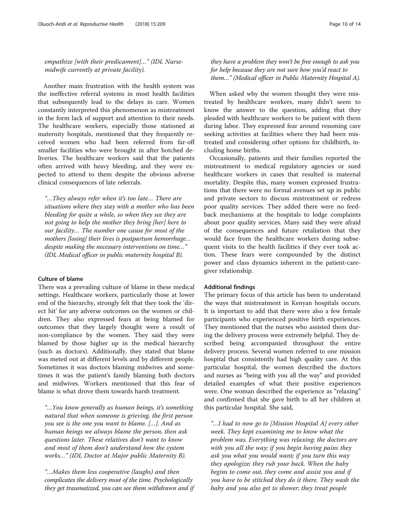empathize [with their predicament]…" (IDI, Nursemidwife currently at private facility).

Another main frustration with the health system was the ineffective referral systems in most health facilities that subsequently lead to the delays in care. Women constantly interpreted this phenomenon as mistreatment in the form lack of support and attention to their needs. The healthcare workers, especially those stationed at maternity hospitals, mentioned that they frequently received women who had been referred from far-off smaller facilities who were brought in after botched deliveries. The healthcare workers said that the patients often arrived with heavy bleeding, and they were expected to attend to them despite the obvious adverse clinical consequences of late referrals.

"…They always refer when it's too late… There are situations where they stay with a mother who has been bleeding for quite a while, so when they see they are not going to help the mother they bring [her] here to our facility… The number one cause for most of the mothers [losing] their lives is postpartum hemorrhage… despite making the necessary interventions on time...' (IDI, Medical officer in public maternity hospital B).

#### Culture of blame

There was a prevailing culture of blame in these medical settings. Healthcare workers, particularly those at lower end of the hierarchy, strongly felt that they took the 'direct hit' for any adverse outcomes on the women or children. They also expressed fears at being blamed for outcomes that they largely thought were a result of non-compliance by the women. They said they were blamed by those higher up in the medical hierarchy (such as doctors). Additionally, they stated that blame was meted out at different levels and by different people. Sometimes it was doctors blaming midwives and sometimes it was the patient's family blaming both doctors and midwives. Workers mentioned that this fear of blame is what drove them towards harsh treatment.

"…You know generally as human beings, it's something natural that when someone is grieving, the first person you see is the one you want to blame. […]. And as human beings we always blame the person, then ask questions later. These relatives don't want to know and most of them don't understand how the system works…" (IDI, Doctor at Major public Maternity B).

"…Makes them less cooperative (laughs) and then complicates the delivery most of the time. Psychologically they get traumatized, you can see them withdrawn and if they have a problem they won't be free enough to ask you for help because they are not sure how you'd react to them…" (Medical officer in Public Maternity Hospital A).

When asked why the women thought they were mistreated by healthcare workers, many didn't seem to know the answer to the question, adding that they pleaded with healthcare workers to be patient with them during labor. They expressed fear around resuming care seeking activities at facilities where they had been mistreated and considering other options for childbirth, including home births.

Occasionally, patients and their families reported the mistreatment to medical regulatory agencies or sued healthcare workers in cases that resulted in maternal mortality. Despite this, many women expressed frustrations that there were no formal avenues set up in public and private sectors to discuss mistreatment or redress poor quality services. They added there were no feedback mechanisms at the hospitals to lodge complaints about poor quality services. Many said they were afraid of the consequences and future retaliation that they would face from the healthcare workers during subsequent visits to the health facilities if they ever took action. These fears were compounded by the distinct power and class dynamics inherent in the patient-caregiver relationship.

## Additional findings

The primary focus of this article has been to understand the ways that mistreatment in Kenyan hospitals occurs. It is important to add that there were also a few female participants who experienced positive birth experiences. They mentioned that the nurses who assisted them during the delivery process were extremely helpful. They described being accompanied throughout the entire delivery process. Several women referred to one mission hospital that consistently had high quality care. At this particular hospital, the women described the doctors and nurses as "being with you all the way" and provided detailed examples of what their positive experiences were. One woman described the experience as "relaxing" and confirmed that she gave birth to all her children at this particular hospital. She said,

"…I had to now go to [Mission Hospital A] every other week. They kept examining me to know what the problem was. Everything was relaxing; the doctors are with you all the way; if you begin having pains they ask you what you would want; if you turn this way they apologize; they rub your back. When the baby begins to come out, they come and assist you and if you have to be stitched they do it there. They wash the baby and you also get to shower; they treat people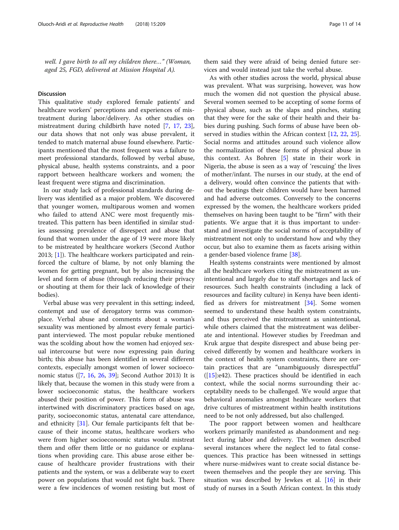well. I gave birth to all my children there…" (Woman, aged 25, FGD, delivered at Mission Hospital A).

# Discussion

This qualitative study explored female patients' and healthcare workers' perceptions and experiences of mistreatment during labor/delivery. As other studies on mistreatment during childbirth have noted [[7,](#page-13-0) [17](#page-13-0), [23](#page-13-0)], our data shows that not only was abuse prevalent, it tended to match maternal abuse found elsewhere. Participants mentioned that the most frequent was a failure to meet professional standards, followed by verbal abuse, physical abuse, health systems constraints, and a poor rapport between healthcare workers and women; the least frequent were stigma and discrimination.

In our study lack of professional standards during delivery was identified as a major problem. We discovered that younger women, multiparous women and women who failed to attend ANC were most frequently mistreated. This pattern has been identified in similar studies assessing prevalence of disrespect and abuse that found that women under the age of 19 were more likely to be mistreated by healthcare workers (Second Author 2013; [[1\]](#page-12-0)). The healthcare workers participated and reinforced the culture of blame, by not only blaming the women for getting pregnant, but by also increasing the level and form of abuse (through reducing their privacy or shouting at them for their lack of knowledge of their bodies).

Verbal abuse was very prevalent in this setting; indeed, contempt and use of derogatory terms was commonplace. Verbal abuse and comments about a woman's sexuality was mentioned by almost every female participant interviewed. The most popular rebuke mentioned was the scolding about how the women had enjoyed sexual intercourse but were now expressing pain during birth; this abuse has been identified in several different contexts, especially amongst women of lower socioeconomic status ([[7,](#page-13-0) [16](#page-13-0), [26](#page-13-0), [39\]](#page-13-0); Second Author 2013) It is likely that, because the women in this study were from a lower socioeconomic status, the healthcare workers abused their position of power. This form of abuse was intertwined with discriminatory practices based on age, parity, socioeconomic status, antenatal care attendance, and ethnicity [\[31](#page-13-0)]. Our female participants felt that because of their income status, healthcare workers who were from higher socioeconomic status would mistreat them and offer them little or no guidance or explanations when providing care. This abuse arose either because of healthcare provider frustrations with their patients and the system, or was a deliberate way to exert power on populations that would not fight back. There were a few incidences of women resisting but most of

them said they were afraid of being denied future services and would instead just take the verbal abuse.

As with other studies across the world, physical abuse was prevalent. What was surprising, however, was how much the women did not question the physical abuse. Several women seemed to be accepting of some forms of physical abuse, such as the slaps and pinches, stating that they were for the sake of their health and their babies during pushing. Such forms of abuse have been observed in studies within the African context [[12,](#page-13-0) [22](#page-13-0), [25](#page-13-0)]. Social norms and attitudes around such violence allow the normalization of these forms of physical abuse in this context. As Bohren [[5\]](#page-13-0) state in their work in Nigeria, the abuse is seen as a way of 'rescuing' the lives of mother/infant. The nurses in our study, at the end of a delivery, would often convince the patients that without the beatings their children would have been harmed and had adverse outcomes. Conversely to the concerns expressed by the women, the healthcare workers prided themselves on having been taught to be "firm" with their patients. We argue that it is thus important to understand and investigate the social norms of acceptability of mistreatment not only to understand how and why they occur, but also to examine them as facets arising within a gender-based violence frame [\[38\]](#page-13-0).

Health systems constraints were mentioned by almost all the healthcare workers citing the mistreatment as unintentional and largely due to staff shortages and lack of resources. Such health constraints (including a lack of resources and facility culture) in Kenya have been identified as drivers for mistreatment [[34\]](#page-13-0). Some women seemed to understand these health system constraints, and thus perceived the mistreatment as unintentional, while others claimed that the mistreatment was deliberate and intentional. However studies by Freedman and Kruk argue that despite disrespect and abuse being perceived differently by women and healthcare workers in the context of health system constraints, there are certain practices that are "unambiguously disrespectful"  $([15]:e42)$  $([15]:e42)$  $([15]:e42)$ . These practices should be identified in each context, while the social norms surrounding their acceptability needs to be challenged. We would argue that behavioral anomalies amongst healthcare workers that drive cultures of mistreatment within health institutions need to be not only addressed, but also challenged.

The poor rapport between women and healthcare workers primarily manifested as abandonment and neglect during labor and delivery. The women described several instances where the neglect led to fatal consequences. This practice has been witnessed in settings where nurse-midwives want to create social distance between themselves and the people they are serving. This situation was described by Jewkes et al. [[16\]](#page-13-0) in their study of nurses in a South African context. In this study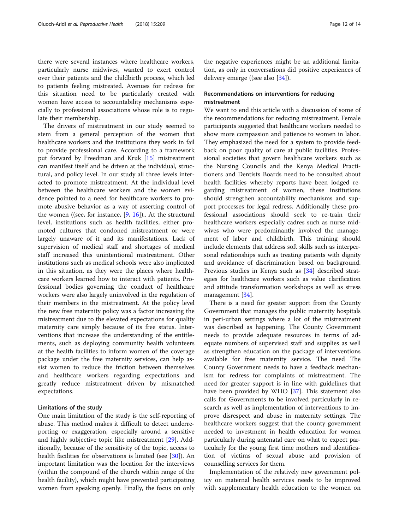there were several instances where healthcare workers, particularly nurse midwives, wanted to exert control over their patients and the childbirth process, which led to patients feeling mistreated. Avenues for redress for this situation need to be particularly created with women have access to accountability mechanisms especially to professional associations whose role is to regulate their membership.

The drivers of mistreatment in our study seemed to stem from a general perception of the women that healthcare workers and the institutions they work in fail to provide professional care. According to a framework put forward by Freedman and Kruk [\[15](#page-13-0)] mistreatment can manifest itself and be driven at the individual, structural, and policy level. In our study all three levels interacted to promote mistreatment. At the individual level between the healthcare workers and the women evidence pointed to a need for healthcare workers to promote abusive behavior as a way of asserting control of the women ((see, for instance,  $[9, 16]$  $[9, 16]$  $[9, 16]$ ).. At the structural level, institutions such as health facilities, either promoted cultures that condoned mistreatment or were largely unaware of it and its manifestations. Lack of supervision of medical staff and shortages of medical staff increased this unintentional mistreatment. Other institutions such as medical schools were also implicated in this situation, as they were the places where healthcare workers learned how to interact with patients. Professional bodies governing the conduct of healthcare workers were also largely uninvolved in the regulation of their members in the mistreatment. At the policy level the new free maternity policy was a factor increasing the mistreatment due to the elevated expectations for quality maternity care simply because of its free status. Interventions that increase the understanding of the entitlements, such as deploying community health volunteers at the health facilities to inform women of the coverage package under the free maternity services, can help assist women to reduce the friction between themselves and healthcare workers regarding expectations and greatly reduce mistreatment driven by mismatched expectations.

#### Limitations of the study

One main limitation of the study is the self-reporting of abuse. This method makes it difficult to detect underreporting or exaggeration, especially around a sensitive and highly subjective topic like mistreatment [[29\]](#page-13-0). Additionally, because of the sensitivity of the topic, access to health facilities for observations is limited (see [\[30](#page-13-0)]). An important limitation was the location for the interviews (within the compound of the church within range of the health facility), which might have prevented participating women from speaking openly. Finally, the focus on only

# Recommendations on interventions for reducing mistreatment

We want to end this article with a discussion of some of the recommendations for reducing mistreatment. Female participants suggested that healthcare workers needed to show more compassion and patience to women in labor. They emphasized the need for a system to provide feedback on poor quality of care at public facilities. Professional societies that govern healthcare workers such as the Nursing Councils and the Kenya Medical Practitioners and Dentists Boards need to be consulted about health facilities whereby reports have been lodged regarding mistreatment of women, these institutions should strengthen accountability mechanisms and support processes for legal redress. Additionally these professional associations should seek to re-train their healthcare workers especially cadres such as nurse midwives who were predominantly involved the management of labor and childbirth. This training should include elements that address soft skills such as interpersonal relationships such as treating patients with dignity and avoidance of discrimination based on background. Previous studies in Kenya such as [[34\]](#page-13-0) described strategies for healthcare workers such as value clarification and attitude transformation workshops as well as stress management [[34](#page-13-0)].

There is a need for greater support from the County Government that manages the public maternity hospitals in peri-urban settings where a lot of the mistreatment was described as happening. The County Government needs to provide adequate resources in terms of adequate numbers of supervised staff and supplies as well as strengthen education on the package of interventions available for free maternity service. The need The County Government needs to have a feedback mechanism for redress for complaints of mistreatment. The need for greater support is in line with guidelines that have been provided by WHO [[37\]](#page-13-0). This statement also calls for Governments to be involved particularly in research as well as implementation of interventions to improve disrespect and abuse in maternity settings. The healthcare workers suggest that the county government needed to investment in health education for women particularly during antenatal care on what to expect particularly for the young first time mothers and identification of victims of sexual abuse and provision of counselling services for them.

Implementation of the relatively new government policy on maternal health services needs to be improved with supplementary health education to the women on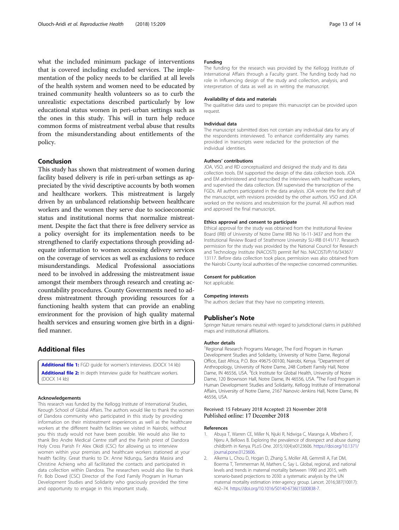<span id="page-12-0"></span>what the included minimum package of interventions that is covered including excluded services. The implementation of the policy needs to be clarified at all levels of the health system and women need to be educated by trained community health volunteers so as to curb the unrealistic expectations described particularly by low educational status women in peri-urban settings such as the ones in this study. This will in turn help reduce common forms of mistreatment verbal abuse that results from the misunderstanding about entitlements of the policy.

# Conclusion

This study has shown that mistreatment of women during facility based delivery is rife in peri-urban settings as appreciated by the vivid descriptive accounts by both women and healthcare workers. This mistreatment is largely driven by an unbalanced relationship between healthcare workers and the women they serve due to socioeconomic status and institutional norms that normalize mistreatment. Despite the fact that there is free delivery service as a policy oversight for its implementation needs to be strengthened to clarify expectations through providing adequate information to women accessing delivery services on the coverage of services as well as exclusions to reduce misunderstandings. Medical Professional associations need to be involved in addressing the mistreatment issue amongst their members through research and creating accountability procedures. County Governments need to address mistreatment through providing resources for a functioning health system that can provide an enabling environment for the provision of high quality maternal health services and ensuring women give birth in a dignified manner.

# Additional files

[Additional file 1:](https://doi.org/10.1186/s12978-018-0643-z) FGD guide for women's interviews. (DOCX 14 kb) [Additional file 2:](https://doi.org/10.1186/s12978-018-0643-z) In depth Interview guide for healthcare workers. (DOCX 14 kb)

#### Acknowledgements

This research was funded by the Kellogg Institute of International Studies, Keough School of Global Affairs. The authors would like to thank the women of Dandora community who participated in this study by providing information on their mistreatment experiences as well as the healthcare workers at the different health facilities we visited in Nairobi, without you this study would not have been possible. We would also like to thank Bro Andre Medical Centre staff and the Parish priest of Dandora Holy Cross Parish Fr Alex Okidi (CSC) for allowing us to interview women within your premises and healthcare workers stationed at your health facility. Great thanks to Dr. Anne Ndungu, Sandra Masira and Christine Achieng who all facilitated the contacts and participated in data collection within Dandora. The researchers would also like to thank Fr. Bob Dowd (CSC) Director of the Ford Family Program in Human Development Studies and Solidarity who graciously provided the time and opportunity to engage in this important study.

#### Funding

The funding for the research was provided by the Kellogg Institute of International Affairs through a Faculty grant. The funding body had no role in influencing design of the study and collection, analysis, and interpretation of data as well as in writing the manuscript.

#### Availability of data and materials

The qualitative data used to prepare this manuscript can be provided upon request.

#### Individual data

The manuscript submitted does not contain any individual data for any of the respondents interviewed. To enhance confidentiality any names provided in transcripts were redacted for the protection of the individual identities.

#### Authors' contributions

JOA, VSO, and RD conceptualized and designed the study and its data collection tools. EM supported the design of the data collection tools. JOA and EM administered and transcribed the interviews with healthcare workers, and supervised the data collection. EM supervised the transcription of the FGDs. All authors participated in the data analysis. JOA wrote the first draft of the manuscript, with revisions provided by the other authors. VSO and JOA worked on the revisions and resubmission for the journal. All authors read and approved the final manuscript.

#### Ethics approval and consent to participate

Ethical approval for the study was obtained from the Institutional Review Board (IRB) of University of Notre Dame IRB No 16-11-3437 and from the Institutional Review Board of Strathmore University SU-IRB 0141/17. Research permission for the study was provided by the National Council for Research and Technology Institute (NACOSTI) permit Ref No. NACOSTI/P/16/34367/ 13117. Before data collection took place, permission was also obtained from the Nairobi County local authorities of the respective concerned communities.

#### Consent for publication

Not applicable.

#### Competing interests

The authors declare that they have no competing interests.

## Publisher's Note

Springer Nature remains neutral with regard to jurisdictional claims in published maps and institutional affiliations.

### Author details

<sup>1</sup> Regional Research Programs Manager, The Ford Program in Human Development Studies and Solidarity, University of Notre Dame, Regional Office, East Africa, P.O. Box 49675-00100, Nairobi, Kenya. <sup>2</sup>Department of Anthropology, University of Notre Dame, 248 Corbett Family Hall, Notre Dame, IN 46556, USA. <sup>3</sup> Eck Institute for Global Health, University of Notre Dame, 120 Brownson Hall, Notre Dame, IN 46556, USA. <sup>4</sup>The Ford Program in Human Development Studies and Solidarity, Kellogg Institute of International Affairs, University of Notre Dame, 2167 Nanovic-Jenkins Hall, Notre Dame, IN 46556, USA.

#### Received: 15 February 2018 Accepted: 23 November 2018 Published online: 17 December 2018

#### References

- 1. Abuya T, Warren CE, Miller N, Njuki R, Ndwiga C, Maranga A, Mbehero F, Njeru A, Bellows B. Exploring the prevalence of disrespect and abuse during childbirth in Kenya. PLoS One. 2015;10(4):e0123606. [https://doi.org/10.1371/](https://doi.org/10.1371/journal.pone.0123606) [journal.pone.0123606](https://doi.org/10.1371/journal.pone.0123606).
- 2. Alkema L, Chou D, Hogan D, Zhang S, Moller AB, Gemmill A, Fat DM, Boerma T, Temmerman M, Mathers C, Say L. Global, regional, and national levels and trends in maternal mortality between 1990 and 2015, with scenario-based projections to 2030: a systematic analysis by the UN maternal mortality estimation inter-agency group. Lancet. 2016;387(10017): 462–74. [https://doi.org/10.1016/S0140-6736\(15\)00838-7.](https://doi.org/10.1016/S0140-6736(15)00838-7)